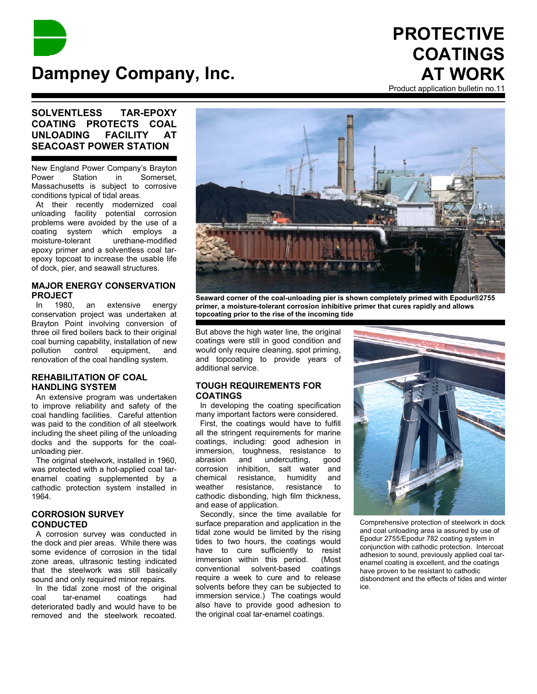

# **PROTECTIVE COATINGS AT WORK**

#### Product application bulletin no.11

# **SOLVENTLESS TAR-EPOXY COATING PROTECTS COAL UNLOADING FACILITY AT SEACOAST POWER STATION**

New England Power Company's Brayton Power Station in Somerset, Massachusetts is subject to corrosive conditions typical of tidal areas.

 At their recently modernized coal unloading facility potential corrosion problems were avoided by the use of a coating system which employs a moisture-tolerant urethane-modified epoxy primer and a solventless coal tarepoxy topcoat to increase the usable life of dock, pier, and seawall structures.

## **MAJOR ENERGY CONSERVATION PROJECT**

 In 1980, an extensive energy conservation project was undertaken at Brayton Point involving conversion of three oil fired boilers back to their original coal burning capability, installation of new pollution control equipment, and renovation of the coal handling system.

### **REHABILITATION OF COAL HANDLING SYSTEM**

 An extensive program was undertaken to improve reliability and safety of the coal handling facilities. Careful attention was paid to the condition of all steelwork including the sheet piling of the unloading docks and the supports for the coalunloading pier.

The original steelwork, installed in 1960. was protected with a hot-applied coal tarenamel coating supplemented by a cathodic protection system installed in 1964.

# **CORROSION SURVEY CONDUCTED**

 A corrosion survey was conducted in the dock and pier areas. While there was some evidence of corrosion in the tidal zone areas, ultrasonic testing indicated that the steelwork was still basically sound and only required minor repairs.

 In the tidal zone most of the original coal tar-enamel coatings had deteriorated badly and would have to be removed and the steelwork recoated.



**Seaward corner of the coal-unloading pier is shown completely primed with Epodur®2755 primer, a moisture-tolerant corrosion inhibitive primer that cures rapidly and allows topcoating prior to the rise of the incoming tide**

But above the high water line, the original coatings were still in good condition and would only require cleaning, spot priming, and topcoating to provide years of additional service.

### **TOUGH REQUIREMENTS FOR COATINGS**

 In developing the coating specification many important factors were considered.

 First, the coatings would have to fulfill all the stringent requirements for marine coatings, including: good adhesion in immersion, toughness, resistance to abrasion and undercutting, good corrosion inhibition, salt water and chemical resistance, humidity and weather resistance, resistance to cathodic disbonding, high film thickness, and ease of application.

 Secondly, since the time available for surface preparation and application in the tidal zone would be limited by the rising tides to two hours, the coatings would have to cure sufficiently to resist immersion within this period. (Most conventional solvent-based coatings require a week to cure and to release solvents before they can be subjected to immersion service.) The coatings would also have to provide good adhesion to the original coal tar-enamel coatings.



Comprehensive protection of steelwork in dock and coal unloading area ia assured by use of Epodur 2755/Epodur 782 coating system in conjunction with cathodic protection. Intercoat adhesion to sound, previously applied coal tarenamel coating is excellent, and the coatings have proven to be resistant to cathodic disbondment and the effects of tides and winter ice.